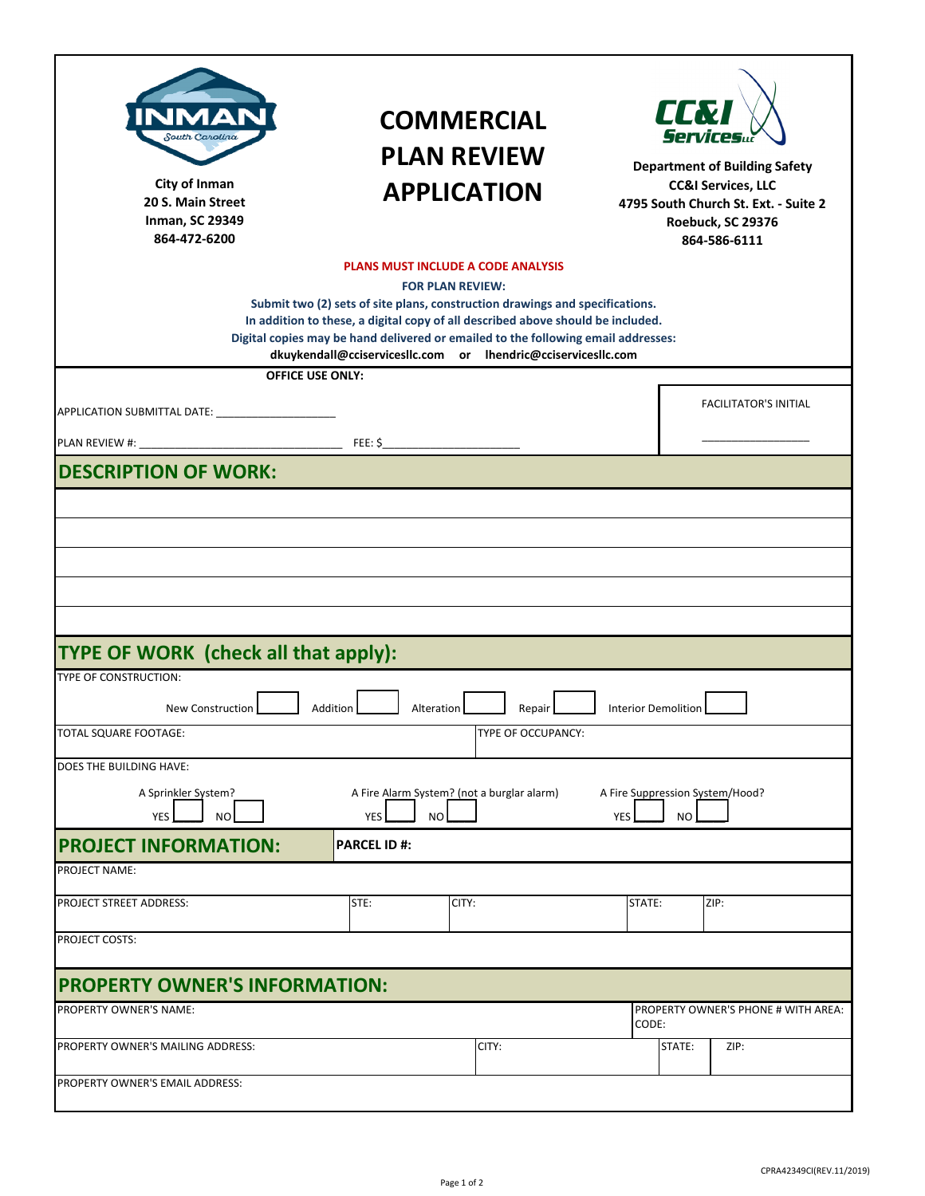| MД<br>South Carolina<br>City of Inman<br>20 S. Main Street<br><b>Inman, SC 29349</b><br>864-472-6200<br><b>OFFICE USE ONLY:</b> | <b>COMMERCIAL</b><br><b>PLAN REVIEW</b><br><b>APPLICATION</b><br><b>PLANS MUST INCLUDE A CODE ANALYSIS</b><br><b>FOR PLAN REVIEW:</b><br>Submit two (2) sets of site plans, construction drawings and specifications.<br>In addition to these, a digital copy of all described above should be included.<br>Digital copies may be hand delivered or emailed to the following email addresses:<br>dkuykendall@cciservicesllc.com or lhendric@cciservicesllc.com |                            | <b>URT</b><br><b>Department of Building Safety</b><br><b>CC&amp;I Services, LLC</b><br>4795 South Church St. Ext. - Suite 2<br>Roebuck, SC 29376<br>864-586-6111 |                                     |
|---------------------------------------------------------------------------------------------------------------------------------|----------------------------------------------------------------------------------------------------------------------------------------------------------------------------------------------------------------------------------------------------------------------------------------------------------------------------------------------------------------------------------------------------------------------------------------------------------------|----------------------------|------------------------------------------------------------------------------------------------------------------------------------------------------------------|-------------------------------------|
|                                                                                                                                 |                                                                                                                                                                                                                                                                                                                                                                                                                                                                |                            |                                                                                                                                                                  | <b>FACILITATOR'S INITIAL</b>        |
|                                                                                                                                 |                                                                                                                                                                                                                                                                                                                                                                                                                                                                |                            |                                                                                                                                                                  |                                     |
|                                                                                                                                 |                                                                                                                                                                                                                                                                                                                                                                                                                                                                |                            |                                                                                                                                                                  |                                     |
| <b>DESCRIPTION OF WORK:</b>                                                                                                     |                                                                                                                                                                                                                                                                                                                                                                                                                                                                |                            |                                                                                                                                                                  |                                     |
|                                                                                                                                 |                                                                                                                                                                                                                                                                                                                                                                                                                                                                |                            |                                                                                                                                                                  |                                     |
|                                                                                                                                 |                                                                                                                                                                                                                                                                                                                                                                                                                                                                |                            |                                                                                                                                                                  |                                     |
|                                                                                                                                 |                                                                                                                                                                                                                                                                                                                                                                                                                                                                |                            |                                                                                                                                                                  |                                     |
|                                                                                                                                 |                                                                                                                                                                                                                                                                                                                                                                                                                                                                |                            |                                                                                                                                                                  |                                     |
|                                                                                                                                 |                                                                                                                                                                                                                                                                                                                                                                                                                                                                |                            |                                                                                                                                                                  |                                     |
|                                                                                                                                 |                                                                                                                                                                                                                                                                                                                                                                                                                                                                |                            |                                                                                                                                                                  |                                     |
| TYPE OF WORK (check all that apply):                                                                                            |                                                                                                                                                                                                                                                                                                                                                                                                                                                                |                            |                                                                                                                                                                  |                                     |
| TYPE OF CONSTRUCTION:                                                                                                           |                                                                                                                                                                                                                                                                                                                                                                                                                                                                |                            |                                                                                                                                                                  |                                     |
|                                                                                                                                 |                                                                                                                                                                                                                                                                                                                                                                                                                                                                |                            |                                                                                                                                                                  |                                     |
| New Construction                                                                                                                | Addition<br>Alteration<br>Repair                                                                                                                                                                                                                                                                                                                                                                                                                               | <b>Interior Demolition</b> |                                                                                                                                                                  |                                     |
| <b>TOTAL SQUARE FOOTAGE:</b>                                                                                                    | TYPE OF OCCUPANCY:                                                                                                                                                                                                                                                                                                                                                                                                                                             |                            |                                                                                                                                                                  |                                     |
| DOES THE BUILDING HAVE:                                                                                                         |                                                                                                                                                                                                                                                                                                                                                                                                                                                                |                            |                                                                                                                                                                  |                                     |
| A Sprinkler System?                                                                                                             | A Fire Alarm System? (not a burglar alarm)                                                                                                                                                                                                                                                                                                                                                                                                                     |                            | A Fire Suppression System/Hood?                                                                                                                                  |                                     |
| N <sub>O</sub><br><b>YES</b>                                                                                                    | <b>YES</b><br>NO.                                                                                                                                                                                                                                                                                                                                                                                                                                              | YES                        | <b>NO</b>                                                                                                                                                        |                                     |
| <b>PROJECT INFORMATION:</b>                                                                                                     | <b>PARCEL ID#:</b>                                                                                                                                                                                                                                                                                                                                                                                                                                             |                            |                                                                                                                                                                  |                                     |
| <b>PROJECT NAME:</b>                                                                                                            |                                                                                                                                                                                                                                                                                                                                                                                                                                                                |                            |                                                                                                                                                                  |                                     |
| <b>PROJECT STREET ADDRESS:</b>                                                                                                  | STE:<br>CITY:                                                                                                                                                                                                                                                                                                                                                                                                                                                  | STATE:                     | ZIP:                                                                                                                                                             |                                     |
|                                                                                                                                 |                                                                                                                                                                                                                                                                                                                                                                                                                                                                |                            |                                                                                                                                                                  |                                     |
| <b>PROJECT COSTS:</b>                                                                                                           |                                                                                                                                                                                                                                                                                                                                                                                                                                                                |                            |                                                                                                                                                                  |                                     |
|                                                                                                                                 |                                                                                                                                                                                                                                                                                                                                                                                                                                                                |                            |                                                                                                                                                                  |                                     |
| <b>PROPERTY OWNER'S INFORMATION:</b>                                                                                            |                                                                                                                                                                                                                                                                                                                                                                                                                                                                |                            |                                                                                                                                                                  |                                     |
| PROPERTY OWNER'S NAME:                                                                                                          |                                                                                                                                                                                                                                                                                                                                                                                                                                                                | CODE:                      |                                                                                                                                                                  | PROPERTY OWNER'S PHONE # WITH AREA: |
| PROPERTY OWNER'S MAILING ADDRESS:                                                                                               | CITY:                                                                                                                                                                                                                                                                                                                                                                                                                                                          |                            | ZIP:<br>STATE:                                                                                                                                                   |                                     |
|                                                                                                                                 |                                                                                                                                                                                                                                                                                                                                                                                                                                                                |                            |                                                                                                                                                                  |                                     |
| PROPERTY OWNER'S EMAIL ADDRESS:                                                                                                 |                                                                                                                                                                                                                                                                                                                                                                                                                                                                |                            |                                                                                                                                                                  |                                     |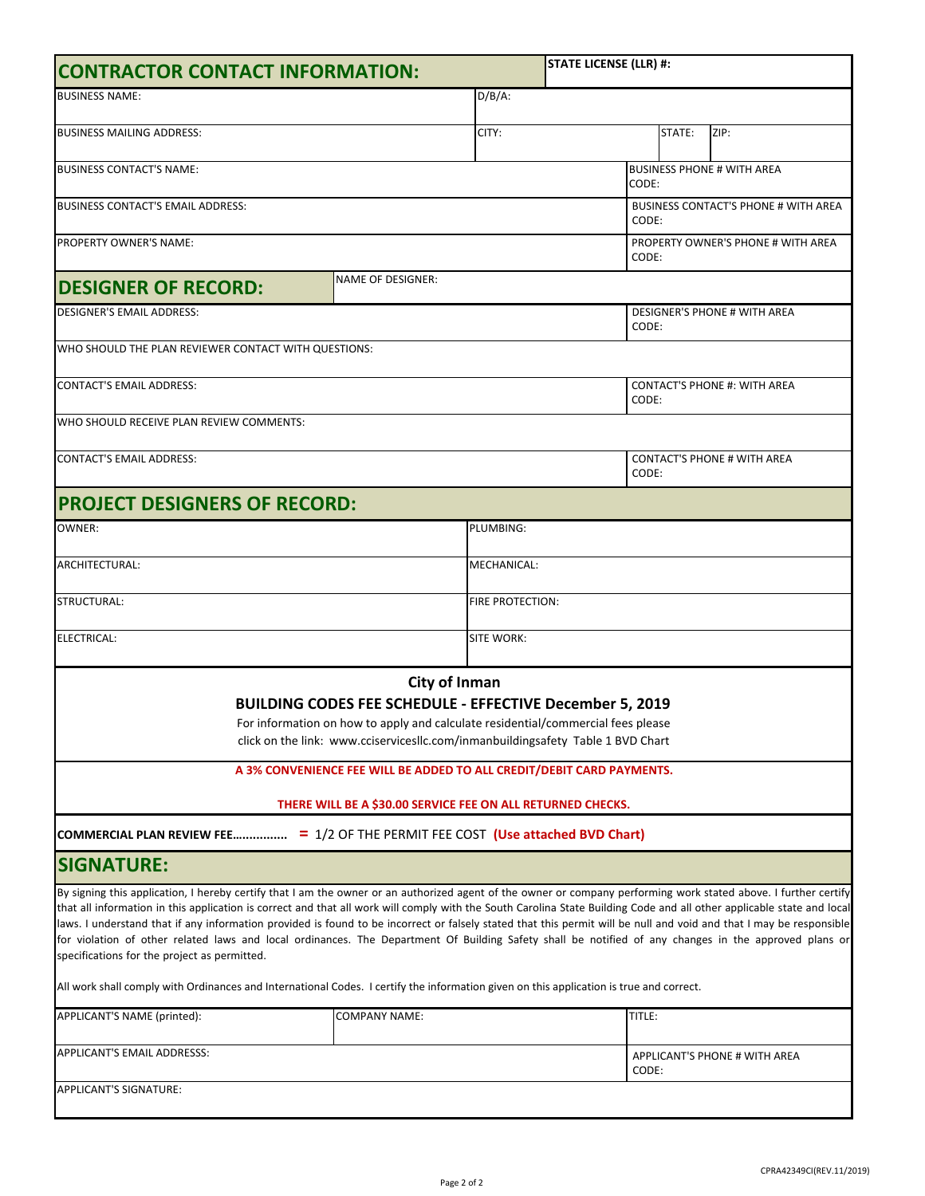| <b>CONTRACTOR CONTACT INFORMATION:</b>                                                                                                                                                                                                                                                                                                                                                                                                                                                                                                                                                                                                                                                                                     |                                                                                                                                                                                                                                                         |                  | <b>STATE LICENSE (LLR) #:</b> |                                                      |  |                               |  |  |
|----------------------------------------------------------------------------------------------------------------------------------------------------------------------------------------------------------------------------------------------------------------------------------------------------------------------------------------------------------------------------------------------------------------------------------------------------------------------------------------------------------------------------------------------------------------------------------------------------------------------------------------------------------------------------------------------------------------------------|---------------------------------------------------------------------------------------------------------------------------------------------------------------------------------------------------------------------------------------------------------|------------------|-------------------------------|------------------------------------------------------|--|-------------------------------|--|--|
| <b>BUSINESS NAME:</b>                                                                                                                                                                                                                                                                                                                                                                                                                                                                                                                                                                                                                                                                                                      |                                                                                                                                                                                                                                                         | $D/B/A$ :        |                               |                                                      |  |                               |  |  |
| <b>BUSINESS MAILING ADDRESS:</b>                                                                                                                                                                                                                                                                                                                                                                                                                                                                                                                                                                                                                                                                                           |                                                                                                                                                                                                                                                         | CITY:            | STATE:<br>ZIP:                |                                                      |  |                               |  |  |
| <b>BUSINESS CONTACT'S NAME:</b>                                                                                                                                                                                                                                                                                                                                                                                                                                                                                                                                                                                                                                                                                            |                                                                                                                                                                                                                                                         |                  |                               | <b>BUSINESS PHONE # WITH AREA</b><br>CODE:           |  |                               |  |  |
| BUSINESS CONTACT'S EMAIL ADDRESS:                                                                                                                                                                                                                                                                                                                                                                                                                                                                                                                                                                                                                                                                                          |                                                                                                                                                                                                                                                         |                  |                               | <b>BUSINESS CONTACT'S PHONE # WITH AREA</b><br>CODE: |  |                               |  |  |
| PROPERTY OWNER'S NAME:                                                                                                                                                                                                                                                                                                                                                                                                                                                                                                                                                                                                                                                                                                     |                                                                                                                                                                                                                                                         |                  |                               | PROPERTY OWNER'S PHONE # WITH AREA<br>CODE:          |  |                               |  |  |
| <b>DESIGNER OF RECORD:</b>                                                                                                                                                                                                                                                                                                                                                                                                                                                                                                                                                                                                                                                                                                 | <b>NAME OF DESIGNER:</b>                                                                                                                                                                                                                                |                  |                               |                                                      |  |                               |  |  |
| <b>DESIGNER'S EMAIL ADDRESS:</b>                                                                                                                                                                                                                                                                                                                                                                                                                                                                                                                                                                                                                                                                                           |                                                                                                                                                                                                                                                         |                  |                               | <b>DESIGNER'S PHONE # WITH AREA</b><br>CODE:         |  |                               |  |  |
| WHO SHOULD THE PLAN REVIEWER CONTACT WITH QUESTIONS:                                                                                                                                                                                                                                                                                                                                                                                                                                                                                                                                                                                                                                                                       |                                                                                                                                                                                                                                                         |                  |                               |                                                      |  |                               |  |  |
| <b>CONTACT'S EMAIL ADDRESS:</b>                                                                                                                                                                                                                                                                                                                                                                                                                                                                                                                                                                                                                                                                                            |                                                                                                                                                                                                                                                         |                  |                               | <b>CONTACT'S PHONE #: WITH AREA</b><br>CODE:         |  |                               |  |  |
| WHO SHOULD RECEIVE PLAN REVIEW COMMENTS:                                                                                                                                                                                                                                                                                                                                                                                                                                                                                                                                                                                                                                                                                   |                                                                                                                                                                                                                                                         |                  |                               |                                                      |  |                               |  |  |
| <b>CONTACT'S EMAIL ADDRESS:</b>                                                                                                                                                                                                                                                                                                                                                                                                                                                                                                                                                                                                                                                                                            |                                                                                                                                                                                                                                                         |                  |                               | <b>CONTACT'S PHONE # WITH AREA</b><br>CODE:          |  |                               |  |  |
| <b>PROJECT DESIGNERS OF RECORD:</b>                                                                                                                                                                                                                                                                                                                                                                                                                                                                                                                                                                                                                                                                                        |                                                                                                                                                                                                                                                         |                  |                               |                                                      |  |                               |  |  |
| <b>OWNER:</b>                                                                                                                                                                                                                                                                                                                                                                                                                                                                                                                                                                                                                                                                                                              | PLUMBING:                                                                                                                                                                                                                                               |                  |                               |                                                      |  |                               |  |  |
| ARCHITECTURAL:                                                                                                                                                                                                                                                                                                                                                                                                                                                                                                                                                                                                                                                                                                             | MECHANICAL:                                                                                                                                                                                                                                             |                  |                               |                                                      |  |                               |  |  |
| STRUCTURAL:                                                                                                                                                                                                                                                                                                                                                                                                                                                                                                                                                                                                                                                                                                                |                                                                                                                                                                                                                                                         | FIRE PROTECTION: |                               |                                                      |  |                               |  |  |
| <b>ELECTRICAL:</b>                                                                                                                                                                                                                                                                                                                                                                                                                                                                                                                                                                                                                                                                                                         |                                                                                                                                                                                                                                                         | SITE WORK:       |                               |                                                      |  |                               |  |  |
|                                                                                                                                                                                                                                                                                                                                                                                                                                                                                                                                                                                                                                                                                                                            | City of Inman<br><b>BUILDING CODES FEE SCHEDULE - EFFECTIVE December 5, 2019</b><br>For information on how to apply and calculate residential/commercial fees please<br>click on the link: www.cciservicesllc.com/inmanbuildingsafety Table 1 BVD Chart |                  |                               |                                                      |  |                               |  |  |
|                                                                                                                                                                                                                                                                                                                                                                                                                                                                                                                                                                                                                                                                                                                            | A 3% CONVENIENCE FEE WILL BE ADDED TO ALL CREDIT/DEBIT CARD PAYMENTS.<br>THERE WILL BE A \$30.00 SERVICE FEE ON ALL RETURNED CHECKS.                                                                                                                    |                  |                               |                                                      |  |                               |  |  |
| COMMERCIAL PLAN REVIEW FEE = 1/2 OF THE PERMIT FEE COST (Use attached BVD Chart)                                                                                                                                                                                                                                                                                                                                                                                                                                                                                                                                                                                                                                           |                                                                                                                                                                                                                                                         |                  |                               |                                                      |  |                               |  |  |
| <b>SIGNATURE:</b>                                                                                                                                                                                                                                                                                                                                                                                                                                                                                                                                                                                                                                                                                                          |                                                                                                                                                                                                                                                         |                  |                               |                                                      |  |                               |  |  |
| By signing this application, I hereby certify that I am the owner or an authorized agent of the owner or company performing work stated above. I further certify<br>that all information in this application is correct and that all work will comply with the South Carolina State Building Code and all other applicable state and local<br>laws. I understand that if any information provided is found to be incorrect or falsely stated that this permit will be null and void and that I may be responsible<br>for violation of other related laws and local ordinances. The Department Of Building Safety shall be notified of any changes in the approved plans or<br>specifications for the project as permitted. |                                                                                                                                                                                                                                                         |                  |                               |                                                      |  |                               |  |  |
| All work shall comply with Ordinances and International Codes. I certify the information given on this application is true and correct.                                                                                                                                                                                                                                                                                                                                                                                                                                                                                                                                                                                    |                                                                                                                                                                                                                                                         |                  |                               |                                                      |  |                               |  |  |
| APPLICANT'S NAME (printed):                                                                                                                                                                                                                                                                                                                                                                                                                                                                                                                                                                                                                                                                                                | COMPANY NAME:                                                                                                                                                                                                                                           |                  |                               | TITLE:                                               |  |                               |  |  |
| APPLICANT'S EMAIL ADDRESSS:                                                                                                                                                                                                                                                                                                                                                                                                                                                                                                                                                                                                                                                                                                |                                                                                                                                                                                                                                                         |                  |                               | CODE:                                                |  | APPLICANT'S PHONE # WITH AREA |  |  |
| APPLICANT'S SIGNATURE:                                                                                                                                                                                                                                                                                                                                                                                                                                                                                                                                                                                                                                                                                                     |                                                                                                                                                                                                                                                         |                  |                               |                                                      |  |                               |  |  |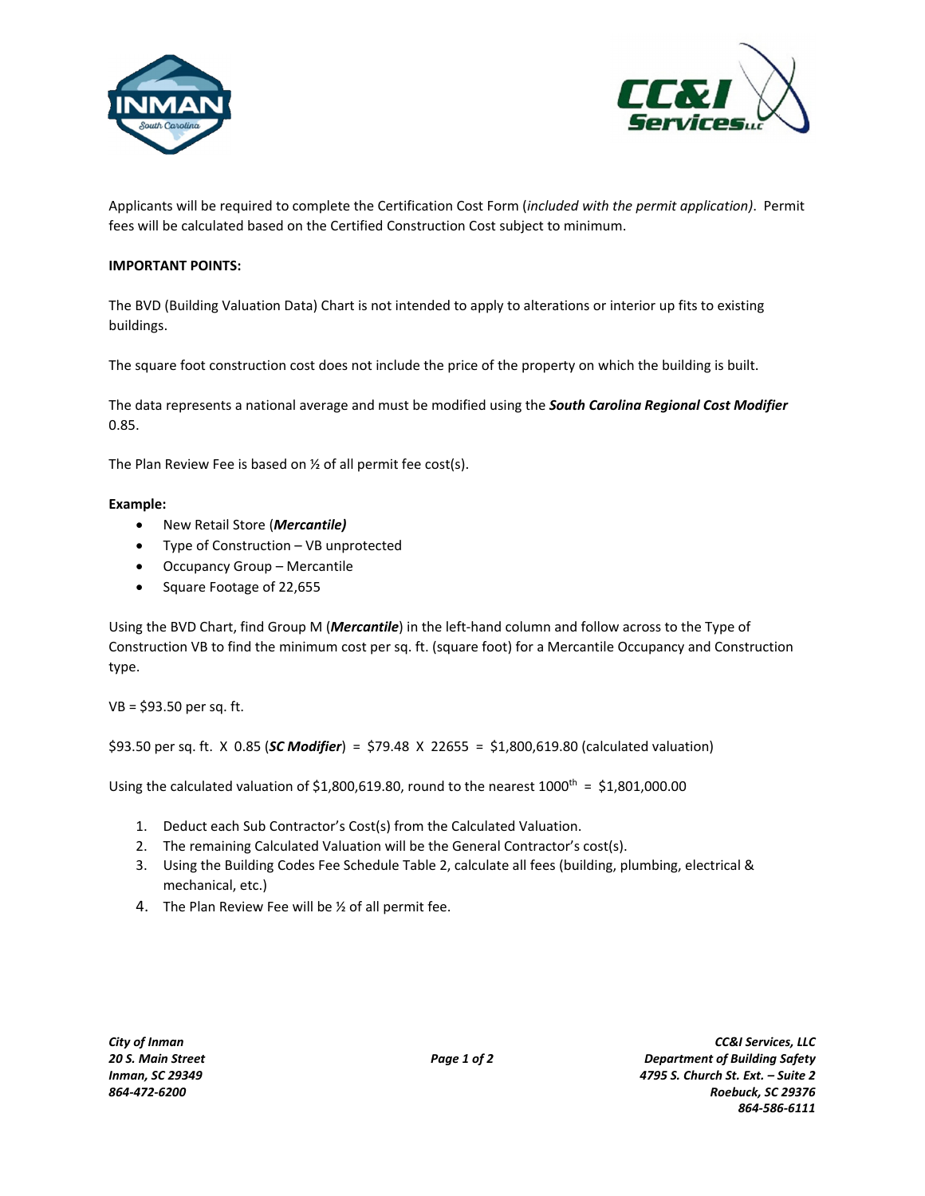



Applicants will be required to complete the Certification Cost Form (*included with the permit application)*. Permit fees will be calculated based on the Certified Construction Cost subject to minimum.

## **IMPORTANT POINTS:**

The BVD (Building Valuation Data) Chart is not intended to apply to alterations or interior up fits to existing buildings.

The square foot construction cost does not include the price of the property on which the building is built.

The data represents a national average and must be modified using the *South Carolina Regional Cost Modifier* 0.85.

The Plan Review Fee is based on ½ of all permit fee cost(s).

## **Example:**

- New Retail Store (*Mercantile)*
- Type of Construction VB unprotected
- Occupancy Group Mercantile
- Square Footage of 22,655

Using the BVD Chart, find Group M (*Mercantile*) in the left‐hand column and follow across to the Type of Construction VB to find the minimum cost per sq. ft. (square foot) for a Mercantile Occupancy and Construction type.

VB = \$93.50 per sq. ft.

\$93.50 per sq. ft. X 0.85 (*SC Modifier*) = \$79.48 X 22655 = \$1,800,619.80 (calculated valuation)

Using the calculated valuation of  $$1,800,619.80$ , round to the nearest  $1000^{th} = $1,801,000.00$ 

- 1. Deduct each Sub Contractor's Cost(s) from the Calculated Valuation.
- 2. The remaining Calculated Valuation will be the General Contractor's cost(s).
- 3. Using the Building Codes Fee Schedule Table 2, calculate all fees (building, plumbing, electrical & mechanical, etc.)
- 4. The Plan Review Fee will be ½ of all permit fee.